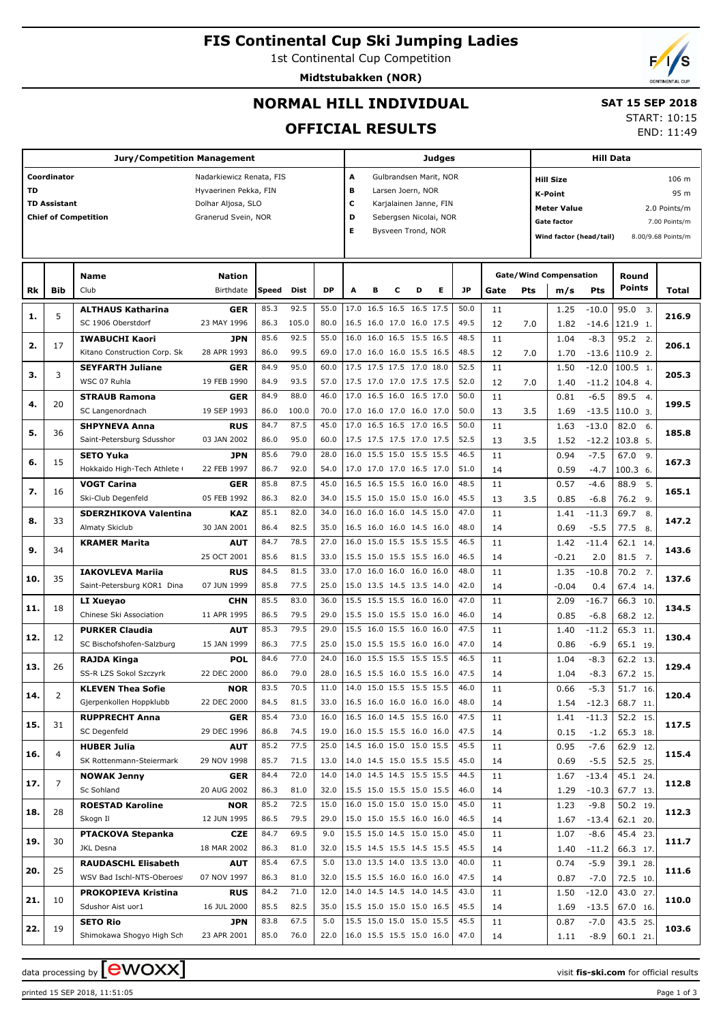# **FIS Continental Cup Ski Jumping Ladies**

1st Continental Cup Competition

**Midtstubakken (NOR)**



END: 11:49

## **NORMAL HILL INDIVIDUAL**

#### **SAT 15 SEP 2018** START: 10:15

**OFFICIAL RESULTS**

|           |                     | <b>Jury/Competition Management</b> |                          |       |       |           |                            | <b>Judges</b>                                 |   |                          | <b>Hill Data</b> |      |      |                |                               |         |               |                    |
|-----------|---------------------|------------------------------------|--------------------------|-------|-------|-----------|----------------------------|-----------------------------------------------|---|--------------------------|------------------|------|------|----------------|-------------------------------|---------|---------------|--------------------|
|           | Coordinator         |                                    | Nadarkiewicz Renata, FIS |       |       |           | A                          |                                               |   | Gulbrandsen Marit, NOR   |                  |      |      |                | <b>Hill Size</b>              |         |               | 106 m              |
| <b>TD</b> |                     |                                    | Hyvaerinen Pekka, FIN    |       |       |           | в                          |                                               |   | Larsen Joern, NOR        |                  |      |      | <b>K-Point</b> |                               |         |               |                    |
|           | <b>TD Assistant</b> |                                    | Dolhar Aljosa, SLO       |       |       |           | c                          |                                               |   | Karjalainen Janne, FIN   |                  |      |      |                |                               |         |               | 95 m               |
|           |                     | <b>Chief of Competition</b>        | Granerud Svein, NOR      |       |       |           | D                          |                                               |   | Sebergsen Nicolai, NOR   |                  |      |      |                | <b>Meter Value</b>            |         |               | 2.0 Points/m       |
|           |                     |                                    |                          |       |       |           | Е                          |                                               |   |                          |                  |      |      |                | <b>Gate factor</b>            |         |               | 7.00 Points/m      |
|           |                     |                                    |                          |       |       |           |                            | Bysveen Trond, NOR<br>Wind factor (head/tail) |   |                          |                  |      |      |                |                               |         |               | 8.00/9.68 Points/m |
|           |                     |                                    |                          |       |       |           |                            |                                               |   |                          |                  |      |      |                |                               |         |               |                    |
|           |                     |                                    |                          |       |       |           |                            |                                               |   |                          |                  |      |      |                |                               |         |               |                    |
|           |                     | Name                               | <b>Nation</b>            |       |       |           |                            |                                               |   |                          |                  |      |      |                | <b>Gate/Wind Compensation</b> |         | Round         |                    |
| Rk        | Bib                 | Club                               | Birthdate                | Speed | Dist  | <b>DP</b> | A                          | в                                             | с | D                        | Е                | JP   | Gate | Pts            | m/s                           | Pts     | <b>Points</b> | Total              |
|           |                     | <b>ALTHAUS Katharina</b>           | <b>GER</b>               | 85.3  | 92.5  | 55.0      |                            |                                               |   | 17.0 16.5 16.5 16.5 17.5 |                  | 50.0 | 11   |                | 1.25                          | $-10.0$ | 95.0 3.       |                    |
| 1.        | 5                   | SC 1906 Oberstdorf                 | 23 MAY 1996              | 86.3  | 105.0 | 80.0      |                            |                                               |   | 16.5 16.0 17.0 16.0 17.5 |                  | 49.5 | 12   | 7.0            | 1.82                          | $-14.6$ | 121.9 1.      | 216.9              |
|           |                     | <b>IWABUCHI Kaori</b>              | <b>JPN</b>               | 85.6  | 92.5  | 55.0      |                            |                                               |   | 16.0 16.0 16.5 15.5 16.5 |                  | 48.5 | 11   |                | 1.04                          | $-8.3$  | 95.2 2.       |                    |
| 2.        | 17                  | Kitano Construction Corp. Sk       | 28 APR 1993              | 86.0  | 99.5  | 69.0      |                            |                                               |   | 17.0 16.0 16.0 15.5 16.5 |                  | 48.5 | 12   | 7.0            | 1.70                          | $-13.6$ | 110.9 2.      | 206.1              |
|           |                     | <b>SEYFARTH Juliane</b>            | GER                      | 84.9  | 95.0  | 60.0      |                            |                                               |   | 17.5 17.5 17.5 17.0 18.0 |                  | 52.5 | 11   |                | 1.50                          | $-12.0$ | 100.5 1.      |                    |
| з.        | 3                   | WSC 07 Ruhla                       | 19 FEB 1990              | 84.9  | 93.5  | 57.0      |                            |                                               |   | 17.5 17.0 17.0 17.5 17.5 |                  | 52.0 | 12   | 7.0            | 1.40                          | $-11.2$ | 104.8 4.      | 205.3              |
|           |                     | <b>STRAUB Ramona</b>               | GER                      | 84.9  | 88.0  | 46.0      |                            |                                               |   | 17.0 16.5 16.0 16.5 17.0 |                  | 50.0 | 11   |                | 0.81                          | $-6.5$  | 89.5<br>4.    |                    |
| 4.        | 20                  | SC Langenordnach                   | 19 SEP 1993              | 86.0  | 100.0 | 70.0      |                            |                                               |   | 17.0 16.0 17.0 16.0 17.0 |                  | 50.0 | 13   | 3.5            | 1.69                          | $-13.5$ | 110.0 3.      | 199.5              |
|           |                     | <b>SHPYNEVA Anna</b>               | <b>RUS</b>               | 84.7  | 87.5  | 45.0      |                            |                                               |   | 17.0 16.5 16.5 17.0 16.5 |                  | 50.0 | 11   |                | 1.63                          | $-13.0$ | 82.0<br>6.    |                    |
| 5.        | 36                  | Saint-Petersburg Sdusshor          | 03 JAN 2002              | 86.0  | 95.0  | 60.0      |                            |                                               |   | 17.5 17.5 17.5 17.0 17.5 |                  | 52.5 | 13   | 3.5            | 1.52                          | $-12.2$ | 103.8 5.      | 185.8              |
|           |                     | SETO Yuka                          | <b>JPN</b>               | 85.6  | 79.0  | 28.0      |                            |                                               |   | 16.0 15.5 15.0 15.5 15.5 |                  | 46.5 | 11   |                | 0.94                          | $-7.5$  | 67.0<br>9.    |                    |
| 6.        | 15                  | Hokkaido High-Tech Athlete (       | 22 FEB 1997              | 86.7  | 92.0  | 54.0      |                            |                                               |   | 17.0 17.0 17.0 16.5 17.0 |                  | 51.0 | 14   |                | 0.59                          | $-4.7$  | 100.3 6.      | 167.3              |
|           |                     | <b>VOGT Carina</b>                 | GER                      | 85.8  | 87.5  | 45.0      |                            |                                               |   | 16.5 16.5 15.5 16.0 16.0 |                  | 48.5 | 11   |                | 0.57                          | $-4.6$  | 88.9<br>5.    |                    |
| 7.        | 16                  | Ski-Club Degenfeld                 | 05 FEB 1992              | 86.3  | 82.0  | 34.0      |                            |                                               |   | 15.5 15.0 15.0 15.0 16.0 |                  | 45.5 | 13   | 3.5            | 0.85                          | $-6.8$  | 76.2<br>9.    | 165.1              |
|           |                     | SDERZHIKOVA Valentina              | KAZ                      | 85.1  | 82.0  | 34.0      |                            |                                               |   | 16.0 16.0 16.0 14.5 15.0 |                  | 47.0 | 11   |                | 1.41                          | $-11.3$ | 69.7<br>8.    |                    |
| 8.        | 33                  | Almaty Skiclub                     | 30 JAN 2001              | 86.4  | 82.5  | 35.0      |                            |                                               |   | 16.5 16.0 16.0 14.5 16.0 |                  | 48.0 | 14   |                | 0.69                          | $-5.5$  | 77.5 8.       | 147.2              |
|           |                     | <b>KRAMER Marita</b>               | AUT                      | 84.7  | 78.5  | 27.0      |                            |                                               |   | 16.0 15.0 15.5 15.5 15.5 |                  | 46.5 | 11   |                | 1.42                          | $-11.4$ | 62.1 14.      |                    |
| 9.        | 34                  |                                    | 25 OCT 2001              | 85.6  | 81.5  | 33.0      |                            |                                               |   | 15.5 15.0 15.5 15.5 16.0 |                  | 46.5 | 14   |                | $-0.21$                       | 2.0     | 81.5 7.       | 143.6              |
|           |                     | <b>IAKOVLEVA Mariia</b>            | <b>RUS</b>               | 84.5  | 81.5  | 33.0      |                            |                                               |   | 17.0 16.0 16.0 16.0 16.0 |                  | 48.0 | 11   |                | 1.35                          | $-10.8$ | 70.2, 7.      |                    |
| 10.       | 35                  | Saint-Petersburg KOR1 Dina         | 07 JUN 1999              | 85.8  | 77.5  | 25.0      |                            |                                               |   | 15.0 13.5 14.5 13.5 14.0 |                  | 42.0 | 14   |                | $-0.04$                       | 0.4     | 67.4 14.      | 137.6              |
|           |                     | LI Xueyao                          | <b>CHN</b>               | 85.5  | 83.0  | 36.0      |                            |                                               |   | 15.5 15.5 15.5 16.0 16.0 |                  | 47.0 | 11   |                | 2.09                          | $-16.7$ | 66.3 10.      |                    |
| 11.       | 18                  | Chinese Ski Association            | 11 APR 1995              | 86.5  | 79.5  | 29.0      |                            |                                               |   | 15.5 15.0 15.5 15.0 16.0 |                  | 46.0 | 14   |                | 0.85                          | $-6.8$  | 68.2 12.      | 134.5              |
|           |                     | <b>PURKER Claudia</b>              | AUT                      | 85.3  | 79.5  | 29.0      |                            |                                               |   | 15.5 16.0 15.5 16.0 16.0 |                  | 47.5 | 11   |                | 1.40                          | $-11.2$ | 65.3 11.      |                    |
| 12.       | 12                  | SC Bischofshofen-Salzburg          | 15 JAN 1999              | 86.3  | 77.5  | 25.0      |                            |                                               |   | 15.0 15.5 15.5 16.0 16.0 |                  | 47.0 | 14   |                | 0.86                          | $-6.9$  | 65.1 19.      | 130.4              |
|           |                     | RAJDA Kinga                        | <b>POL</b>               | 84.6  | 77.0  | 24.0      |                            |                                               |   | 16.0 15.5 15.5 15.5 15.5 |                  | 46.5 | 11   |                | 1.04                          | $-8.3$  | 62.2 13.      |                    |
| 13.       | 26                  | SS-R LZS Sokol Szczyrk             | 22 DEC 2000              | 86.0  | 79.0  | 28.0      |                            |                                               |   | 16.5 15.5 16.0 15.5 16.0 |                  | 47.5 | 14   |                | 1.04                          | $-8.3$  | 67.2 15.      | 129.4              |
|           |                     | <b>KLEVEN Thea Sofie</b>           | <b>NOR</b>               | 83.5  | 70.5  | 11.0      |                            |                                               |   | 14.0 15.0 15.5 15.5 15.5 |                  | 46.0 | 11   |                | 0.66                          | $-5.3$  | 51.7 16.      |                    |
| 14.       | 2                   | Gjerpenkollen Hoppklubb            | 22 DEC 2000              | 84.5  | 81.5  | 33.0      | $16.5$ 16.0 16.0 16.0 16.0 |                                               |   |                          |                  | 48.0 | 14   |                | 1.54                          | $-12.3$ | 68.7 11.      | 120.4              |
|           |                     | <b>RUPPRECHT Anna</b>              | GER                      | 85.4  | 73.0  | 16.0      |                            |                                               |   | 16.5 16.0 14.5 15.5 16.0 |                  | 47.5 | 11   |                | 1.41                          | $-11.3$ | 52.2 15.      |                    |
| 15.       | 31                  | SC Degenfeld                       | 29 DEC 1996              | 86.8  | 74.5  | 19.0      |                            |                                               |   | 16.0 15.5 15.5 16.0 16.0 |                  | 47.5 | 14   |                | 0.15                          | $-1.2$  | 65.3 18.      | 117.5              |
|           |                     | <b>HUBER Julia</b>                 | <b>AUT</b>               | 85.2  | 77.5  | 25.0      |                            |                                               |   | 14.5 16.0 15.0 15.0 15.5 |                  | 45.5 | 11   |                | 0.95                          | $-7.6$  | 62.9 12.      |                    |
| 16.       | $\overline{4}$      | SK Rottenmann-Steiermark           | 29 NOV 1998              | 85.7  | 71.5  | 13.0      |                            |                                               |   | 14.0 14.5 15.0 15.5 15.5 |                  | 45.0 | 14   |                | 0.69                          | $-5.5$  | 52.5 25.      | 115.4              |
|           |                     | <b>NOWAK Jenny</b>                 | GER                      | 84.4  | 72.0  | 14.0      |                            |                                               |   | 14.0 14.5 14.5 15.5 15.5 |                  | 44.5 | 11   |                | 1.67                          | $-13.4$ | 45.1 24.      |                    |
| 17.       | $\overline{7}$      | Sc Sohland                         | 20 AUG 2002              | 86.3  | 81.0  | 32.0      |                            |                                               |   | 15.5 15.0 15.5 15.0 15.5 |                  | 46.0 | 14   |                | 1.29                          | $-10.3$ | 67.7 13.      | 112.8              |
|           |                     | <b>ROESTAD Karoline</b>            | <b>NOR</b>               | 85.2  | 72.5  | 15.0      |                            |                                               |   | 16.0 15.0 15.0 15.0 15.0 |                  | 45.0 | 11   |                | 1.23                          | $-9.8$  | 50.2 19.      |                    |
| 18.       | 28                  | Skogn Il                           | 12 JUN 1995              | 86.5  | 79.5  | 29.0      |                            |                                               |   | 15.0 15.0 15.5 16.0 16.0 |                  | 46.5 | 14   |                | 1.67                          | $-13.4$ | 62.1 20.      | 112.3              |
|           |                     | PTACKOVA Stepanka                  | <b>CZE</b>               | 84.7  | 69.5  | 9.0       |                            |                                               |   | 15.5 15.0 14.5 15.0 15.0 |                  | 45.0 | 11   |                | 1.07                          | $-8.6$  | 45.4 23.      |                    |
| 19.       | 30                  | JKL Desna                          | 18 MAR 2002              | 86.3  | 81.0  | 32.0      |                            |                                               |   | 15.5 14.5 15.5 14.5 15.5 |                  | 45.5 | 14   |                | 1.40                          | $-11.2$ | 66.3 17.      | 111.7              |
|           |                     | <b>RAUDASCHL Elisabeth</b>         | <b>AUT</b>               | 85.4  | 67.5  | 5.0       |                            |                                               |   | 13.0 13.5 14.0 13.5 13.0 |                  | 40.0 | 11   |                | 0.74                          | $-5.9$  | 39.1 28.      |                    |
| 20.       | 25                  | WSV Bad Ischl-NTS-Oberoes          | 07 NOV 1997              | 86.3  | 81.0  | 32.0      |                            |                                               |   | 15.5 15.5 16.0 16.0 16.0 |                  | 47.5 | 14   |                | 0.87                          | $-7.0$  | 72.5 10.      | 111.6              |
|           |                     | PROKOPIEVA Kristina                | <b>RUS</b>               | 84.2  | 71.0  | 12.0      |                            |                                               |   | 14.0 14.5 14.5 14.0 14.5 |                  | 43.0 | 11   |                | 1.50                          | $-12.0$ | 43.0 27.      |                    |
| 21.       | 10                  | Sdushor Aist uor1                  | 16 JUL 2000              | 85.5  | 82.5  | 35.0      |                            |                                               |   | 15.5 15.0 15.0 15.0 16.5 |                  | 45.5 | 14   |                | 1.69                          | $-13.5$ | 67.0 16.      | 110.0              |
|           |                     | <b>SETO Rio</b>                    | <b>JPN</b>               | 83.8  | 67.5  | 5.0       |                            |                                               |   | 15.5 15.0 15.0 15.0 15.5 |                  | 45.5 | 11   |                | 0.87                          | $-7.0$  | 43.5 25.      |                    |
| 22.       | 19                  | Shimokawa Shogyo High Sch          | 23 APR 2001              | 85.0  | 76.0  | 22.0      | 16.0 15.5 15.5 15.0 16.0   |                                               |   |                          |                  | 47.0 | 14   |                | 1.11                          | $-8.9$  | 60.1 21.      | 103.6              |

data processing by  $\boxed{\text{ewOX}}$ 

printed 15 SEP 2018, 11:51:05 Page 1 of 3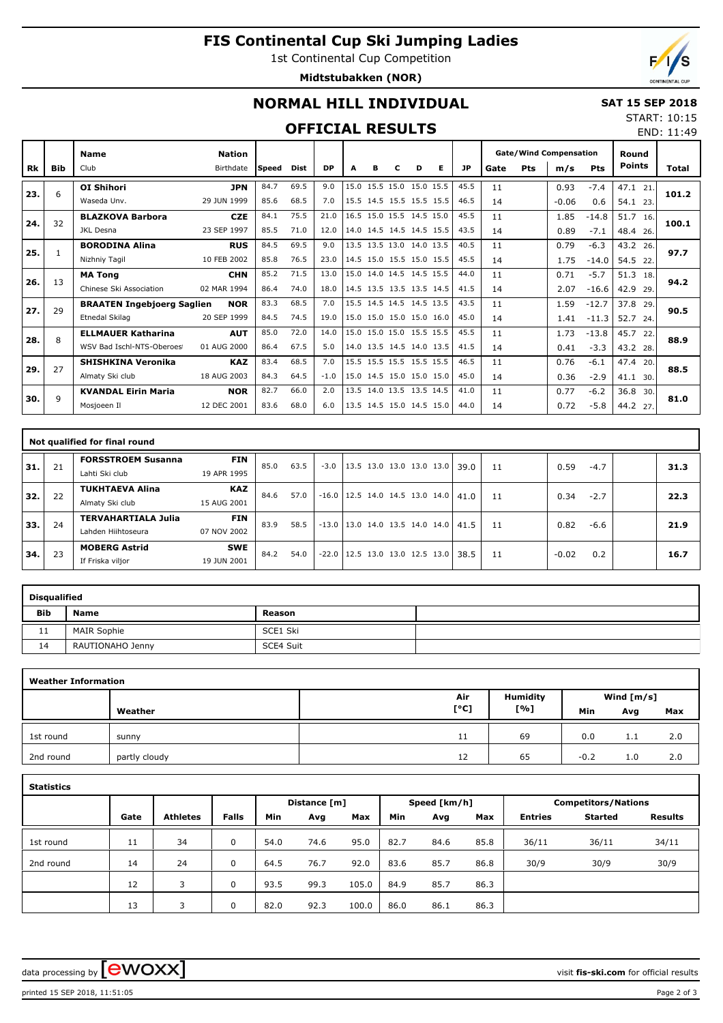## **FIS Continental Cup Ski Jumping Ladies**

1st Continental Cup Competition

**Midtstubakken (NOR)**



END: 11:49

## **NORMAL HILL INDIVIDUAL**

#### **SAT 15 SEP 2018** START: 10:15

### **OFFICIAL RESULTS**

|     |            | <b>Name</b>                       | <b>Nation</b> |        |             |           |      |   | <b>Gate/Wind Compensation</b> |                          | Round |           |      |            |         |            |               |       |
|-----|------------|-----------------------------------|---------------|--------|-------------|-----------|------|---|-------------------------------|--------------------------|-------|-----------|------|------------|---------|------------|---------------|-------|
| Rk  | <b>Bib</b> | Club                              | Birthdate     | lSpeed | <b>Dist</b> | <b>DP</b> | A    | в | с                             | D                        | Е     | <b>JP</b> | Gate | <b>Pts</b> | m/s     | <b>Pts</b> | <b>Points</b> | Total |
| 23. | 6          | <b>OI Shihori</b>                 | <b>JPN</b>    | 84.7   | 69.5        | 9.0       | 15.0 |   |                               | 15.5 15.0 15.0 15.5      |       | 45.5      | 11   |            | 0.93    | $-7.4$     | 47.1<br>21    | 101.2 |
|     |            | Waseda Unv.                       | 29 JUN 1999   | 85.6   | 68.5        | 7.0       |      |   |                               | 15.5 14.5 15.5 15.5 15.5 |       | 46.5      | 14   |            | $-0.06$ | 0.6        | 54.1<br>23.   |       |
| 24. | 32         | <b>BLAZKOVA Barbora</b>           | <b>CZE</b>    | 84.1   | 75.5        | 21.0      | 16.5 |   |                               | 15.0 15.5 14.5 15.0      |       | 45.5      | 11   |            | 1.85    | $-14.8$    | 51.7<br>16.   | 100.1 |
|     |            | <b>JKL Desna</b>                  | 23 SEP 1997   | 85.5   | 71.0        | 12.0      |      |   |                               | 14.0 14.5 14.5 14.5 15.5 |       | 43.5      | 14   |            | 0.89    | $-7.1$     | 48.4 26.      |       |
| 25. |            | <b>BORODINA Alina</b>             | <b>RUS</b>    | 84.5   | 69.5        | 9.0       |      |   |                               | 13.5 13.5 13.0 14.0 13.5 |       | 40.5      | 11   |            | 0.79    | $-6.3$     | 43.2<br>26.   | 97.7  |
|     |            | Nizhniy Tagil                     | 10 FEB 2002   | 85.8   | 76.5        | 23.0      |      |   |                               | 14.5 15.0 15.5 15.0 15.5 |       | 45.5      | 14   |            | 1.75    | $-14.0$    | 54.5<br>22    |       |
| 26. | 13         | <b>MA Tong</b>                    | <b>CHN</b>    | 85.2   | 71.5        | 13.0      |      |   |                               | 15.0 14.0 14.5 14.5 15.5 |       | 44.0      | 11   |            | 0.71    | $-5.7$     | 51.3<br>18.   | 94.2  |
|     |            | Chinese Ski Association           | 02 MAR 1994   | 86.4   | 74.0        | 18.0      |      |   |                               | 14.5 13.5 13.5 13.5 14.5 |       | 41.5      | 14   |            | 2.07    | $-16.6$    | 42.9<br>29.   |       |
| 27. | 29         | <b>BRAATEN Ingebjoerg Saglien</b> | <b>NOR</b>    | 83.3   | 68.5        | 7.0       |      |   |                               | 15.5 14.5 14.5 14.5 13.5 |       | 43.5      | 11   |            | 1.59    | $-12.7$    | 37.8<br>29.   | 90.5  |
|     |            | Etnedal Skilag                    | 20 SEP 1999   | 84.5   | 74.5        | 19.0      |      |   |                               | 15.0 15.0 15.0 15.0 16.0 |       | 45.0      | 14   |            | 1.41    | $-11.3$    | 52.7<br>24.   |       |
| 28. | 8          | <b>ELLMAUER Katharina</b>         | <b>AUT</b>    | 85.0   | 72.0        | 14.0      |      |   |                               | 15.0 15.0 15.0 15.5 15.5 |       | 45.5      | 11   |            | 1.73    | $-13.8$    | 45.7<br>22    | 88.9  |
|     |            | WSV Bad Ischl-NTS-Oberoes         | 01 AUG 2000   | 86.4   | 67.5        | 5.0       |      |   |                               | 14.0 13.5 14.5 14.0 13.5 |       | 41.5      | 14   |            | 0.41    | $-3.3$     | 43.2 28.      |       |
| 29. | 27         | <b>SHISHKINA Veronika</b>         | <b>KAZ</b>    | 83.4   | 68.5        | 7.0       |      |   |                               | 15.5 15.5 15.5 15.5 15.5 |       | 46.5      | 11   |            | 0.76    | $-6.1$     | 47.4 20.      | 88.5  |
|     |            | Almaty Ski club                   | 18 AUG 2003   | 84.3   | 64.5        | $-1.0$    |      |   |                               | 15.0 14.5 15.0 15.0 15.0 |       | 45.0      | 14   |            | 0.36    | $-2.9$     | 41.1<br>30.   |       |
| 30. | q          | <b>KVANDAL Eirin Maria</b>        | <b>NOR</b>    | 82.7   | 66.0        | 2.0       |      |   |                               | 13.5 14.0 13.5 13.5 14.5 |       | 41.0      | 11   |            | 0.77    | $-6.2$     | 36.8<br>30.   | 81.0  |
|     |            | Mosjoeen Il                       | 12 DEC 2001   | 83.6   | 68.0        | 6.0       |      |   |                               | 13.5 14.5 15.0 14.5 15.0 |       | 44.0      | 14   |            | 0.72    | $-5.8$     | 44.2 27.      |       |

|     |    | Not qualified for final round                    |                           |      |      |        |                                       |  |  |                                            |    |         |        |      |
|-----|----|--------------------------------------------------|---------------------------|------|------|--------|---------------------------------------|--|--|--------------------------------------------|----|---------|--------|------|
| 31. | 21 | <b>FORSSTROEM Susanna</b><br>Lahti Ski club      | <b>FIN</b><br>19 APR 1995 | 85.0 | 63.5 | $-3.0$ |                                       |  |  | $ 13.5 \t13.0 \t13.0 \t13.0 \t13.0   39.0$ | 11 | 0.59    | $-4.7$ | 31.3 |
| 32. | 22 | <b>TUKHTAEVA Alina</b><br>Almaty Ski club        | <b>KAZ</b><br>15 AUG 2001 | 84.6 | 57.0 |        | $-16.0$ 12.5 14.0 14.5 13.0 14.0 41.0 |  |  |                                            | 11 | 0.34    | $-2.7$ | 22.3 |
| 33. | 24 | <b>TERVAHARTIALA Julia</b><br>Lahden Hiihtoseura | <b>FIN</b><br>07 NOV 2002 | 83.9 | 58.5 |        | $-13.0$ 13.0 14.0 13.5 14.0 14.0 41.5 |  |  |                                            | 11 | 0.82    | -6.6   | 21.9 |
| 34. | 23 | <b>MOBERG Astrid</b><br>If Friska viljor         | <b>SWE</b><br>19 JUN 2001 | 84.2 | 54.0 |        | $-22.0$   12.5 13.0 13.0 12.5 13.0    |  |  | 38.5                                       | 11 | $-0.02$ | 0.2    | 16.7 |

| <b>Disqualified</b> |                    |           |  |  |  |  |  |  |  |  |  |  |
|---------------------|--------------------|-----------|--|--|--|--|--|--|--|--|--|--|
| <b>Bib</b>          | Name               | Reason    |  |  |  |  |  |  |  |  |  |  |
| 11                  | <b>MAIR Sophie</b> | SCE1 Ski  |  |  |  |  |  |  |  |  |  |  |
| 14                  | RAUTIONAHO Jenny   | SCE4 Suit |  |  |  |  |  |  |  |  |  |  |

| <b>Weather Information</b> |               |      |                 |              |     |     |  |  |  |  |  |  |  |
|----------------------------|---------------|------|-----------------|--------------|-----|-----|--|--|--|--|--|--|--|
|                            |               | Air  | <b>Humidity</b> | Wind $[m/s]$ |     |     |  |  |  |  |  |  |  |
|                            | Weather       | [°C] | [%]             | Min          | Avg | Max |  |  |  |  |  |  |  |
| 1st round                  | sunny         | 11   | 69              | 0.0          | 1.1 | 2.0 |  |  |  |  |  |  |  |
| 2nd round                  | partly cloudy | 12   | 65              | $-0.2$       | 1.0 | 2.0 |  |  |  |  |  |  |  |

| <b>Statistics</b> |      |                 |              |      |              |       |      |              |      |                            |                |                |  |
|-------------------|------|-----------------|--------------|------|--------------|-------|------|--------------|------|----------------------------|----------------|----------------|--|
|                   |      |                 |              |      | Distance [m] |       |      | Speed [km/h] |      | <b>Competitors/Nations</b> |                |                |  |
|                   | Gate | <b>Athletes</b> | <b>Falls</b> | Min  | Avg          | Max   | Min  | Avg          | Max  | <b>Entries</b>             | <b>Started</b> | <b>Results</b> |  |
| 1st round         | 11   | 34              | 0            | 54.0 | 74.6         | 95.0  | 82.7 | 84.6         | 85.8 | 36/11                      | 36/11          | 34/11          |  |
| 2nd round         | 14   | 24              | 0            | 64.5 | 76.7         | 92.0  | 83.6 | 85.7         | 86.8 | 30/9                       | 30/9           | 30/9           |  |
|                   | 12   | 3               | 0            | 93.5 | 99.3         | 105.0 | 84.9 | 85.7         | 86.3 |                            |                |                |  |
|                   | 13   | 3               | 0            | 82.0 | 92.3         | 100.0 | 86.0 | 86.1         | 86.3 |                            |                |                |  |

data processing by  $\boxed{\text{ewOX}}$ 

printed 15 SEP 2018, 11:51:05 Page 2 of 3